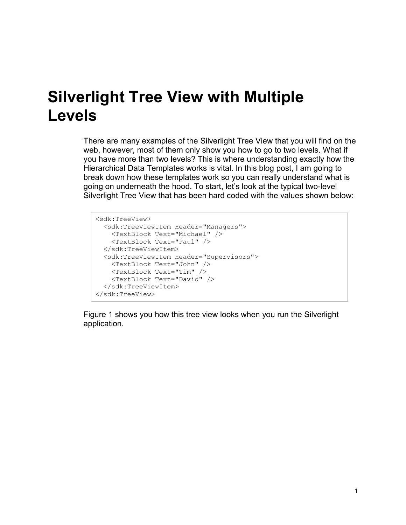## **Silverlight Tree View with Multiple Levels**

There are many examples of the Silverlight Tree View that you will find on the web, however, most of them only show you how to go to two levels. What if you have more than two levels? This is where understanding exactly how the Hierarchical Data Templates works is vital. In this blog post, I am going to break down how these templates work so you can really understand what is going on underneath the hood. To start, let's look at the typical two-level Silverlight Tree View that has been hard coded with the values shown below:

```
<sdk:TreeView>
  <sdk:TreeViewItem Header="Managers">
    <TextBlock Text="Michael" />
    <TextBlock Text="Paul" />
  </sdk:TreeViewItem>
  <sdk:TreeViewItem Header="Supervisors">
    <TextBlock Text="John" />
    <TextBlock Text="Tim" />
    <TextBlock Text="David" />
  </sdk:TreeViewItem>
</sdk:TreeView>
```
[Figure 1](#page-1-0) shows you how this tree view looks when you run the Silverlight application.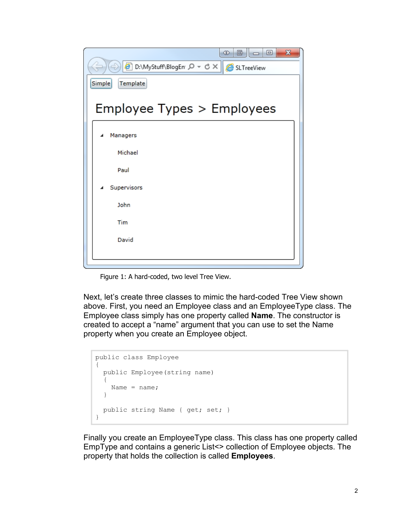| $\mathbf x$<br>G   —   0<br><b>SD</b><br>B D:\MyStuff\BlogEn Q - C X   B SLTreeView |
|-------------------------------------------------------------------------------------|
| Simple<br>Template                                                                  |
| Employee Types > Employees                                                          |
| Managers<br>Michael                                                                 |
| Paul                                                                                |
| Supervisors<br>John                                                                 |
| Tim                                                                                 |
| David                                                                               |
|                                                                                     |

Figure 1: A hard-coded, two level Tree View.

<span id="page-1-0"></span>Next, let's create three classes to mimic the hard-coded Tree View shown above. First, you need an Employee class and an EmployeeType class. The Employee class simply has one property called **Name**. The constructor is created to accept a "name" argument that you can use to set the Name property when you create an Employee object.

```
public class Employee
{
  public Employee(string name)
   {
   Name = name; }
  public string Name { get; set; }
}
```
Finally you create an EmployeeType class. This class has one property called EmpType and contains a generic List<> collection of Employee objects. The property that holds the collection is called **Employees**.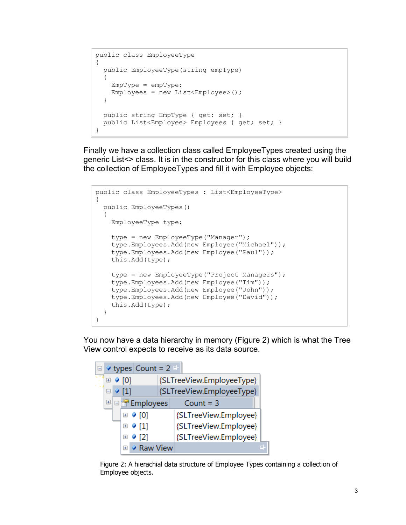```
public class EmployeeType
{
   public EmployeeType(string empType)
\{EmpType = empType;Employees = new List<Employee>();
   }
   public string EmpType { get; set; }
  public List<Employee> Employees { get; set; }
}
```
Finally we have a collection class called EmployeeTypes created using the generic List<> class. It is in the constructor for this class where you will build the collection of EmployeeTypes and fill it with Employee objects:

```
public class EmployeeTypes : List<EmployeeType>
{
  public EmployeeTypes()
   {
     EmployeeType type;
   type = new EmployeeType("Manager");
     type.Employees.Add(new Employee("Michael"));
     type.Employees.Add(new Employee("Paul"));
     this.Add(type);
    type = new EmployeeType ("Project Managers");
     type.Employees.Add(new Employee("Tim"));
     type.Employees.Add(new Employee("John"));
     type.Employees.Add(new Employee("David"));
     this.Add(type);
  }
}
```
You now have a data hierarchy in memory [\(Figure 2\)](#page-2-0) which is what the Tree View control expects to receive as its data source.



<span id="page-2-0"></span>Figure 2: A hierachial data structure of Employee Types containing a collection of Employee objects.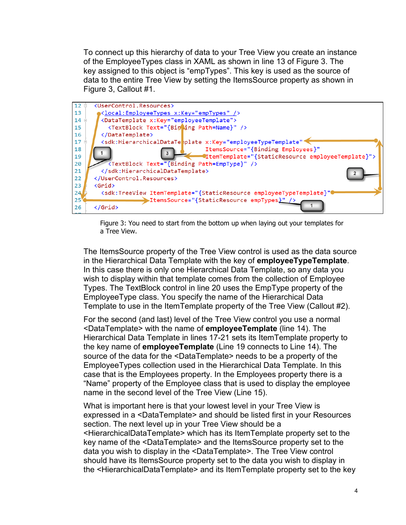To connect up this hierarchy of data to your Tree View you create an instance of the EmployeeTypes class in XAML as shown in line 13 of [Figure 3.](#page-3-0) The key assigned to this object is "empTypes". This key is used as the source of data to the entire Tree View by setting the ItemsSource property as shown in [Figure 3,](#page-3-0) Callout #1.



Figure 3: You need to start from the bottom up when laying out your templates for a Tree View.

<span id="page-3-0"></span>The ItemsSource property of the Tree View control is used as the data source in the Hierarchical Data Template with the key of **employeeTypeTemplate**. In this case there is only one Hierarchical Data Template, so any data you wish to display within that template comes from the collection of Employee Types. The TextBlock control in line 20 uses the EmpType property of the EmployeeType class. You specify the name of the Hierarchical Data Template to use in the ItemTemplate property of the Tree View (Callout #2).

For the second (and last) level of the Tree View control you use a normal <DataTemplate> with the name of **employeeTemplate** (line 14). The Hierarchical Data Template in lines 17-21 sets its ItemTemplate property to the key name of **employeeTemplate** (Line 19 connects to Line 14). The source of the data for the <DataTemplate> needs to be a property of the EmployeeTypes collection used in the Hierarchical Data Template. In this case that is the Employees property. In the Employees property there is a "Name" property of the Employee class that is used to display the employee name in the second level of the Tree View (Line 15).

What is important here is that your lowest level in your Tree View is expressed in a <DataTemplate> and should be listed first in your Resources section. The next level up in your Tree View should be a <HierarchicalDataTemplate> which has its ItemTemplate property set to the key name of the <DataTemplate> and the ItemsSource property set to the data you wish to display in the <DataTemplate>. The Tree View control should have its ItemsSource property set to the data you wish to display in the <HierarchicalDataTemplate> and its ItemTemplate property set to the key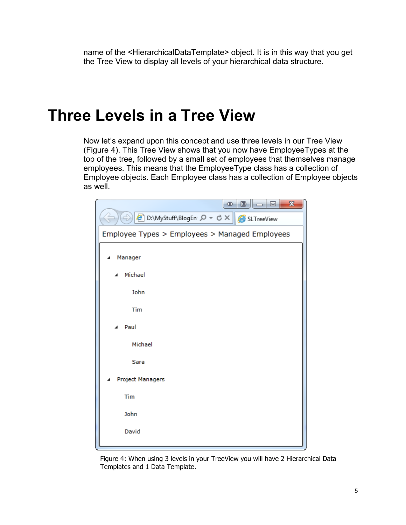name of the <HierarchicalDataTemplate> object. It is in this way that you get the Tree View to display all levels of your hierarchical data structure.

## **Three Levels in a Tree View**

Now let's expand upon this concept and use three levels in our Tree View [\(Figure 4\)](#page-4-0). This Tree View shows that you now have EmployeeTypes at the top of the tree, followed by a small set of employees that themselves manage employees. This means that the EmployeeType class has a collection of Employee objects. Each Employee class has a collection of Employee objects as well.

| $\mathbf{x}$<br>$\Box$ $\Box$<br><br>囘                      |
|-------------------------------------------------------------|
| → B D:\MyStuff\BlogEn $\rho \cdot c \times   $ & SLTreeView |
| Employee Types > Employees > Managed Employees              |
| Manager                                                     |
| Michael<br>◢                                                |
| John                                                        |
| Tim                                                         |
| Paul<br>◢                                                   |
| Michael                                                     |
| Sara                                                        |
| <b>Project Managers</b>                                     |
| Tim                                                         |
| John                                                        |
| David                                                       |
|                                                             |

<span id="page-4-0"></span>Figure 4: When using 3 levels in your TreeView you will have 2 Hierarchical Data Templates and 1 Data Template.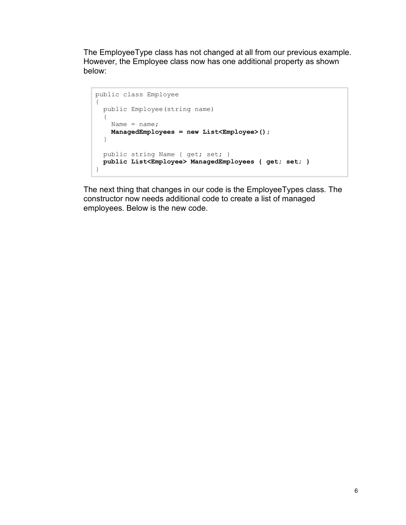The EmployeeType class has not changed at all from our previous example. However, the Employee class now has one additional property as shown below:

```
public class Employee
{
  public Employee(string name)
  {
   Name = name; ManagedEmployees = new List<Employee>();
 }
  public string Name { get; set; }
  public List<Employee> ManagedEmployees { get; set; }
}
```
The next thing that changes in our code is the EmployeeTypes class. The constructor now needs additional code to create a list of managed employees. Below is the new code.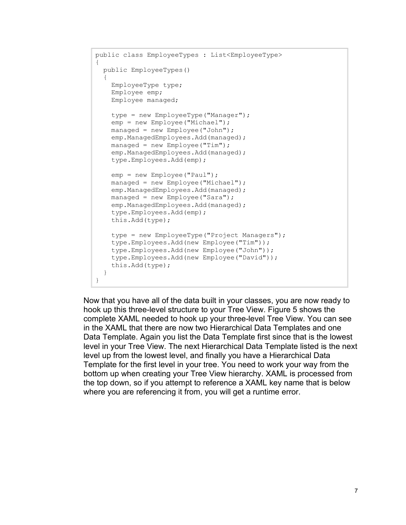```
public class EmployeeTypes : List<EmployeeType>
{
  public EmployeeTypes()
\{ EmployeeType type;
     Employee emp;
     Employee managed;
     type = new EmployeeType("Manager");
     emp = new Employee("Michael");
    managed = new Employee("John");
    emp.ManagedEmployees.Add(managed);
    managed = new Employee("Tim");
    emp.ManagedEmployees.Add(managed);
     type.Employees.Add(emp);
     emp = new Employee("Paul");
    managed = new Employee("Michael");
    emp.ManagedEmployees.Add(managed);
    managed = new Employee("Sara");
    emp.ManagedEmployees.Add(managed);
     type.Employees.Add(emp);
     this.Add(type);
    type = new EmployeeType ("Project Managers");
     type.Employees.Add(new Employee("Tim"));
     type.Employees.Add(new Employee("John"));
     type.Employees.Add(new Employee("David"));
     this.Add(type);
   }
}
```
Now that you have all of the data built in your classes, you are now ready to hook up this three-level structure to your Tree View. [Figure 5](#page-7-0) shows the complete XAML needed to hook up your three-level Tree View. You can see in the XAML that there are now two Hierarchical Data Templates and one Data Template. Again you list the Data Template first since that is the lowest level in your Tree View. The next Hierarchical Data Template listed is the next level up from the lowest level, and finally you have a Hierarchical Data Template for the first level in your tree. You need to work your way from the bottom up when creating your Tree View hierarchy. XAML is processed from the top down, so if you attempt to reference a XAML key name that is below where you are referencing it from, you will get a runtime error.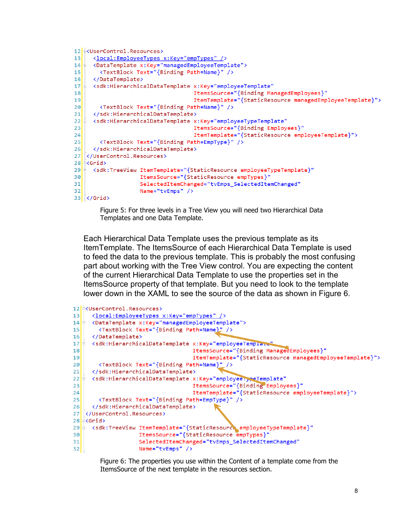```
12 CUserControl. Resources>
      <local:EmployeeTypes x:Key="empTypes" />
1314\frac{1}{2}<DataTemplate x:Key="managedEmployeeTemplate">
15<sup>1</sup><TextBlock Text="{Binding Path=Name}" />
     </DataTemplate>
16<sup>1</sup><sdk:HierarchicalDataTemplate x:Key="employeeTemplate"
17EItemsSource="{Binding ManagedEmployees}"
18ItemTemplate="{StaticResource managedEmployeeTemplate}">
19<sup>1</sup>20<TextBlock Text="{Binding Path=Name}" />
21</sdk:HierarchicalDataTemplate>
     <sdk:HierarchicalDataTemplate x:Key="employeeTypeTemplate"
22\pmItemsSource="{Binding Employees}"
23ItemTemplate="{StaticResource employeeTemplate}">
2425<TextBlock Text="{Binding Path=EmpType}" />
26</sdk:HierarchicalDataTemplate>
27 </UserControl.Resources>
28 \pm Grid>
29 = <sdk:TreeView ItemTemplate="{StaticResource employeeTypeTemplate}"
                    ItemsSource="{StaticResource empTypes}"
30<sup>1</sup>SelectedItemChanged="tvEmps_SelectedItemChanged"
3132Name="tvEmps" />
33 </Grid>
```
Figure 5: For three levels in a Tree View you will need two Hierarchical Data Templates and one Data Template.

<span id="page-7-0"></span>Each Hierarchical Data Template uses the previous template as its ItemTemplate. The ItemsSource of each Hierarchical Data Template is used to feed the data to the previous template. This is probably the most confusing part about working with the Tree View control. You are expecting the content of the current Hierarchical Data Template to use the properties set in the ItemsSource property of that template. But you need to look to the template lower down in the XAML to see the source of the data as shown in [Figure 6.](#page-7-1)

```
12 COSerControl. Resources>
13<sup>1</sup><local:EmployeeTypes x:Key="empTypes" />
     <DataTemplate x:Kev="managedEmploveeTemplate">
14<TextBlock Text="{Binding Path=Name}" />
15<sub>1</sub>16</DataTemplate>
     <sdk:HierarchicalDataTemplate x:Key="employeeTemplate"
1718ItemsSource="{Binding ManagedEmployees}"
                                     ItemTemplate="{StaticResource managedEmployeeTemplate}">
19<TextBlock Text="{Binding Path=Name}" />
2a</sdk:HierarchicalDataTemplate>
2122<sdk:HierarchicalDataTemplate x:Key="employeerypeTemplate"
                                     ItemsSource="{Binding Employees}"
2324ItemTemplate="{StaticResource employeeTemplate}">
25<TextBlock Text="{Binding Path=EmpType}" />
     </sdk:HierarchicalDataTemplate>
26</UserControl.Resources>
2728 \approx Grid>
29 Sdk:TreeView ItemTemplate="{StaticResource_employeeTypeTemplate}"
                    ItemsSource="{StaticResource empTypes}"
30<sup>1</sup>SelectedItemChanged="tvEmps_SelectedItemChanged"
3132Name="tvEmps" />
```
<span id="page-7-1"></span>Figure 6: The properties you use within the Content of a template come from the ItemsSource of the next template in the resources section.